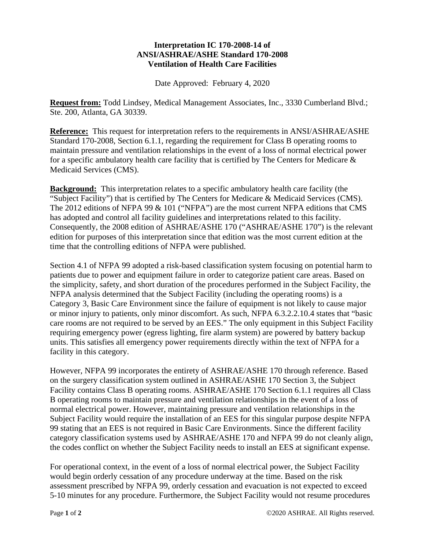## **Interpretation IC 170-2008-14 of ANSI/ASHRAE/ASHE Standard 170-2008 Ventilation of Health Care Facilities**

Date Approved: February 4, 2020

**Request from:** Todd Lindsey, Medical Management Associates, Inc., 3330 Cumberland Blvd.; Ste. 200, Atlanta, GA 30339.

**Reference:** This request for interpretation refers to the requirements in ANSI/ASHRAE/ASHE Standard 170-2008, Section 6.1.1, regarding the requirement for Class B operating rooms to maintain pressure and ventilation relationships in the event of a loss of normal electrical power for a specific ambulatory health care facility that is certified by The Centers for Medicare & Medicaid Services (CMS).

**Background:** This interpretation relates to a specific ambulatory health care facility (the "Subject Facility") that is certified by The Centers for Medicare & Medicaid Services (CMS). The 2012 editions of NFPA 99 & 101 ("NFPA") are the most current NFPA editions that CMS has adopted and control all facility guidelines and interpretations related to this facility. Consequently, the 2008 edition of ASHRAE/ASHE 170 ("ASHRAE/ASHE 170") is the relevant edition for purposes of this interpretation since that edition was the most current edition at the time that the controlling editions of NFPA were published.

Section 4.1 of NFPA 99 adopted a risk-based classification system focusing on potential harm to patients due to power and equipment failure in order to categorize patient care areas. Based on the simplicity, safety, and short duration of the procedures performed in the Subject Facility, the NFPA analysis determined that the Subject Facility (including the operating rooms) is a Category 3, Basic Care Environment since the failure of equipment is not likely to cause major or minor injury to patients, only minor discomfort. As such, NFPA 6.3.2.2.10.4 states that "basic care rooms are not required to be served by an EES." The only equipment in this Subject Facility requiring emergency power (egress lighting, fire alarm system) are powered by battery backup units. This satisfies all emergency power requirements directly within the text of NFPA for a facility in this category.

However, NFPA 99 incorporates the entirety of ASHRAE/ASHE 170 through reference. Based on the surgery classification system outlined in ASHRAE/ASHE 170 Section 3, the Subject Facility contains Class B operating rooms. ASHRAE/ASHE 170 Section 6.1.1 requires all Class B operating rooms to maintain pressure and ventilation relationships in the event of a loss of normal electrical power. However, maintaining pressure and ventilation relationships in the Subject Facility would require the installation of an EES for this singular purpose despite NFPA 99 stating that an EES is not required in Basic Care Environments. Since the different facility category classification systems used by ASHRAE/ASHE 170 and NFPA 99 do not cleanly align, the codes conflict on whether the Subject Facility needs to install an EES at significant expense.

For operational context, in the event of a loss of normal electrical power, the Subject Facility would begin orderly cessation of any procedure underway at the time. Based on the risk assessment prescribed by NFPA 99, orderly cessation and evacuation is not expected to exceed 5-10 minutes for any procedure. Furthermore, the Subject Facility would not resume procedures